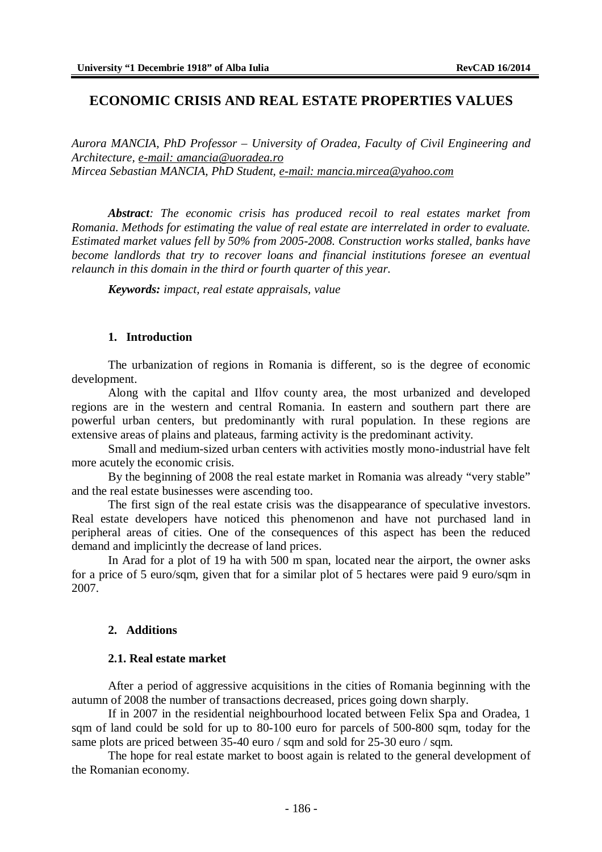# **ECONOMIC CRISIS AND REAL ESTATE PROPERTIES VALUES**

*Aurora MANCIA, PhD Professor – University of Oradea, Faculty of Civil Engineering and Architecture, e-mail: [amancia@uoradea.ro](mailto:amancia@uoradea.ro) Mircea Sebastian MANCIA, PhD Student, e-mail: [mancia.mircea@yahoo.com](mailto:mancia.mircea@yahoo.com)*

*Abstract: The economic crisis has produced recoil to real estates market from Romania. Methods for estimating the value of real estate are interrelated in order to evaluate. Estimated market values fell by 50% from 2005-2008. Construction works stalled, banks have become landlords that try to recover loans and financial institutions foresee an eventual relaunch in this domain in the third or fourth quarter of this year.*

*Keywords: impact, real estate appraisals, value*

### **1. Introduction**

The urbanization of regions in Romania is different, so is the degree of economic development.

Along with the capital and Ilfov county area, the most urbanized and developed regions are in the western and central Romania. In eastern and southern part there are powerful urban centers, but predominantly with rural population. In these regions are extensive areas of plains and plateaus, farming activity is the predominant activity.

Small and medium-sized urban centers with activities mostly mono-industrial have felt more acutely the economic crisis.

By the beginning of 2008 the real estate market in Romania was already "very stable" and the real estate businesses were ascending too.

The first sign of the real estate crisis was the disappearance of speculative investors. Real estate developers have noticed this phenomenon and have not purchased land in peripheral areas of cities. One of the consequences of this aspect has been the reduced demand and implicintly the decrease of land prices.

In Arad for a plot of 19 ha with 500 m span, located near the airport, the owner asks for a price of 5 euro/sqm, given that for a similar plot of 5 hectares were paid 9 euro/sqm in 2007.

#### **2. Additions**

#### **2.1. Real estate market**

After a period of aggressive acquisitions in the cities of Romania beginning with the autumn of 2008 the number of transactions decreased, prices going down sharply.

If in 2007 in the residential neighbourhood located between Felix Spa and Oradea, 1 sqm of land could be sold for up to 80-100 euro for parcels of 500-800 sqm, today for the same plots are priced between 35-40 euro / sqm and sold for 25-30 euro / sqm.

The hope for real estate market to boost again is related to the general development of the Romanian economy.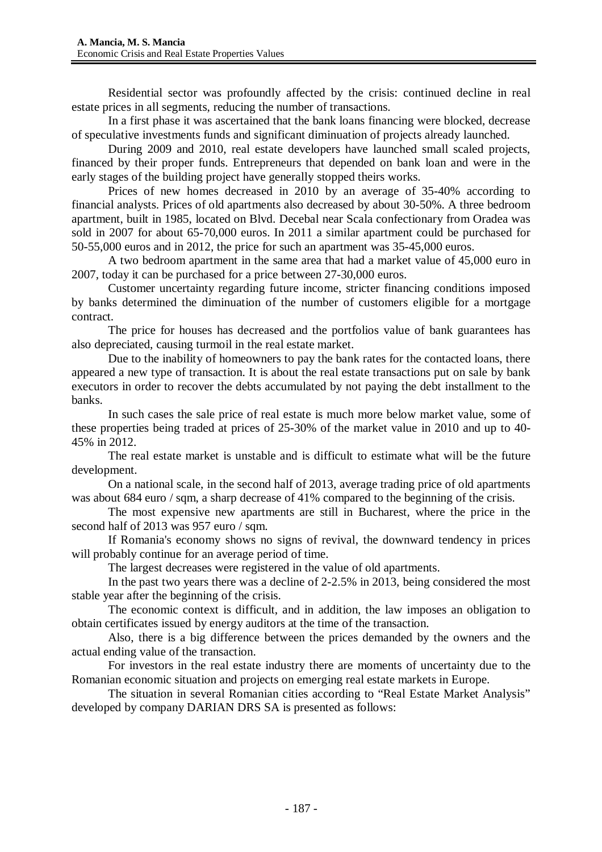Residential sector was profoundly affected by the crisis: continued decline in real estate prices in all segments, reducing the number of transactions.

In a first phase it was ascertained that the bank loans financing were blocked, decrease of speculative investments funds and significant diminuation of projects already launched.

During 2009 and 2010, real estate developers have launched small scaled projects, financed by their proper funds. Entrepreneurs that depended on bank loan and were in the early stages of the building project have generally stopped theirs works.

Prices of new homes decreased in 2010 by an average of 35-40% according to financial analysts. Prices of old apartments also decreased by about 30-50%. A three bedroom apartment, built in 1985, located on Blvd. Decebal near Scala confectionary from Oradea was sold in 2007 for about 65-70,000 euros. In 2011 a similar apartment could be purchased for 50-55,000 euros and in 2012, the price for such an apartment was 35-45,000 euros.

A two bedroom apartment in the same area that had a market value of 45,000 euro in 2007, today it can be purchased for a price between 27-30,000 euros.

Customer uncertainty regarding future income, stricter financing conditions imposed by banks determined the diminuation of the number of customers eligible for a mortgage contract.

The price for houses has decreased and the portfolios value of bank guarantees has also depreciated, causing turmoil in the real estate market.

Due to the inability of homeowners to pay the bank rates for the contacted loans, there appeared a new type of transaction. It is about the real estate transactions put on sale by bank executors in order to recover the debts accumulated by not paying the debt installment to the banks.

In such cases the sale price of real estate is much more below market value, some of these properties being traded at prices of 25-30% of the market value in 2010 and up to 40- 45% in 2012.

The real estate market is unstable and is difficult to estimate what will be the future development.

On a national scale, in the second half of 2013, average trading price of old apartments was about 684 euro / sqm, a sharp decrease of 41% compared to the beginning of the crisis.

The most expensive new apartments are still in Bucharest, where the price in the second half of 2013 was 957 euro / sqm.

If Romania's economy shows no signs of revival, the downward tendency in prices will probably continue for an average period of time.

The largest decreases were registered in the value of old apartments.

In the past two years there was a decline of 2-2.5% in 2013, being considered the most stable year after the beginning of the crisis.

The economic context is difficult, and in addition, the law imposes an obligation to obtain certificates issued by energy auditors at the time of the transaction.

Also, there is a big difference between the prices demanded by the owners and the actual ending value of the transaction.

For investors in the real estate industry there are moments of uncertainty due to the Romanian economic situation and projects on emerging real estate markets in Europe.

The situation in several Romanian cities according to "Real Estate Market Analysis" developed by company DARIAN DRS SA is presented as follows: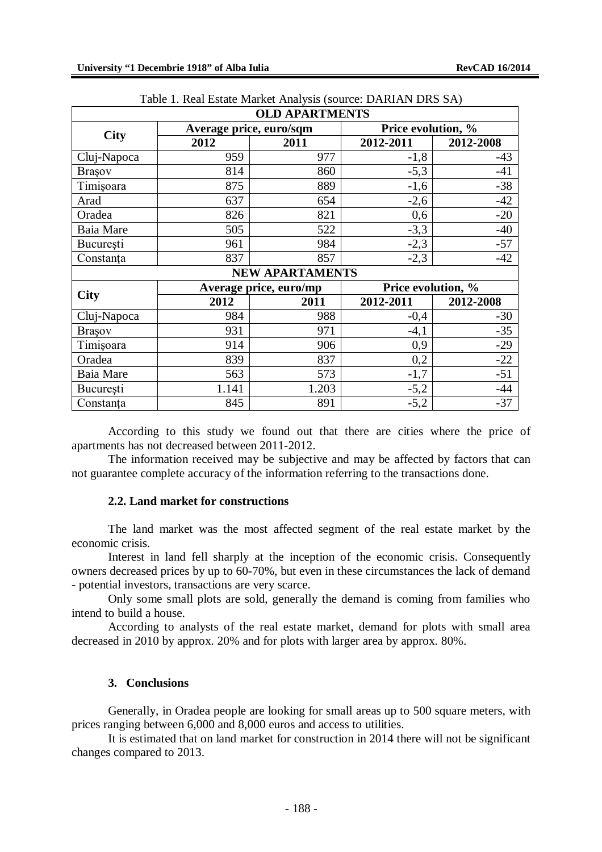|                  |                         | <b>OLD APARTMENTS</b>  |                    |           |  |  |
|------------------|-------------------------|------------------------|--------------------|-----------|--|--|
|                  | Average price, euro/sqm |                        | Price evolution, % |           |  |  |
| <b>City</b>      | 2012                    | 2011                   | 2012-2011          | 2012-2008 |  |  |
| Cluj-Napoca      | 959                     | 977                    | $-1,8$             | $-43$     |  |  |
| <b>Brasov</b>    | 814                     | 860                    | $-5,3$             | $-41$     |  |  |
| Timişoara        | 875                     | 889                    | $-1,6$             | $-38$     |  |  |
| Arad             | 637                     | 654                    | $-2,6$             | $-42$     |  |  |
| Oradea           | 826                     | 821                    | 0,6                | $-20$     |  |  |
| Baia Mare        | 505                     | 522                    | $-3,3$             | $-40$     |  |  |
| București        | 961                     | 984                    | $-2,3$             | $-57$     |  |  |
| Constanța        | 837                     | 857                    | $-2,3$             | $-42$     |  |  |
|                  |                         | <b>NEW APARTAMENTS</b> |                    |           |  |  |
| <b>City</b>      |                         | Average price, euro/mp | Price evolution, % |           |  |  |
|                  | 2012                    | 2011                   | 2012-2011          | 2012-2008 |  |  |
| Cluj-Napoca      | 984                     | 988                    | $-0,4$             | $-30$     |  |  |
| <b>Brasov</b>    | 931                     | 971                    | $-4,1$             | $-35$     |  |  |
| Timișoara        | 914                     | 906                    | 0,9                | $-29$     |  |  |
| Oradea           | 839                     | 837                    | 0,2                | $-22$     |  |  |
| <b>Baia</b> Mare | 563                     | 573                    | $-1,7$             | $-51$     |  |  |
| București        | 1.141                   | 1.203                  | $-5,2$             | $-44$     |  |  |
| Constanta        | 845                     | 891                    | $-5,2$             | $-37$     |  |  |

|  |  |  |  |  |  | Table 1. Real Estate Market Analysis (source: DARIAN DRS SA) |  |  |
|--|--|--|--|--|--|--------------------------------------------------------------|--|--|
|--|--|--|--|--|--|--------------------------------------------------------------|--|--|

According to this study we found out that there are cities where the price of apartments has not decreased between 2011-2012.

The information received may be subjective and may be affected by factors that can not guarantee complete accuracy of the information referring to the transactions done.

#### **2.2. Land market for constructions**

The land market was the most affected segment of the real estate market by the economic crisis.

Interest in land fell sharply at the inception of the economic crisis. Consequently owners decreased prices by up to 60-70%, but even in these circumstances the lack of demand - potential investors, transactions are very scarce.

Only some small plots are sold, generally the demand is coming from families who intend to build a house.

According to analysts of the real estate market, demand for plots with small area decreased in 2010 by approx. 20% and for plots with larger area by approx. 80%.

# **3. Conclusions**

Generally, in Oradea people are looking for small areas up to 500 square meters, with prices ranging between 6,000 and 8,000 euros and access to utilities.

It is estimated that on land market for construction in 2014 there will not be significant changes compared to 2013.